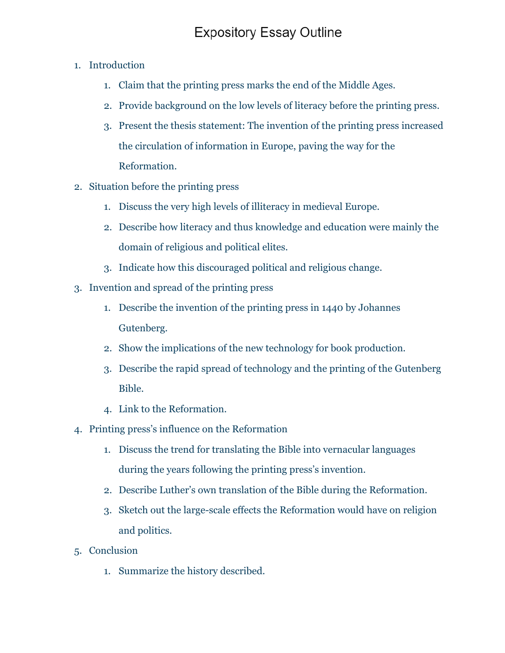## **Expository Essay Outline**

- 1. Introduction
	- 1. Claim that the printing press marks the end of the Middle Ages.
	- 2. Provide background on the low levels of literacy before the printing press.
	- 3. Present the thesis statement: The invention of the printing press increased the circulation of information in Europe, paving the way for the Reformation.
- 2. Situation before the printing press
	- 1. Discuss the very high levels of illiteracy in medieval Europe.
	- 2. Describe how literacy and thus knowledge and education were mainly the domain of religious and political elites.
	- 3. Indicate how this discouraged political and religious change.
- 3. Invention and spread of the printing press
	- 1. Describe the invention of the printing press in 1440 by Johannes Gutenberg.
	- 2. Show the implications of the new technology for book production.
	- 3. Describe the rapid spread of technology and the printing of the Gutenberg Bible.
	- 4. Link to the Reformation.
- 4. Printing press's influence on the Reformation
	- 1. Discuss the trend for translating the Bible into vernacular languages during the years following the printing press's invention.
	- 2. Describe Luther's own translation of the Bible during the Reformation.
	- 3. Sketch out the large-scale effects the Reformation would have on religion and politics.
- 5. Conclusion
	- 1. Summarize the history described.